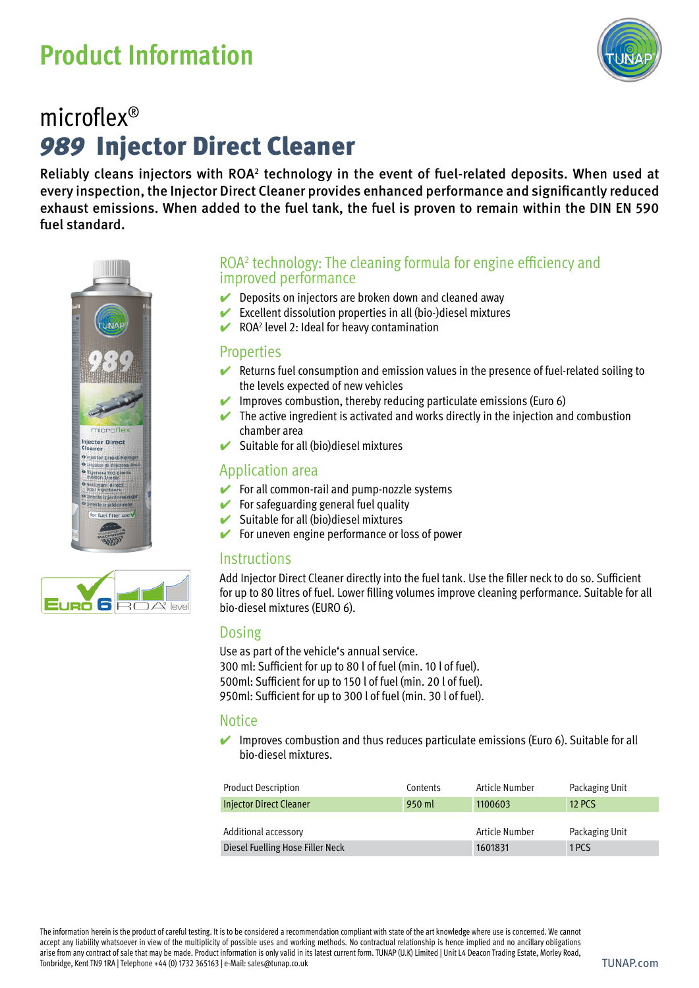# **Product Information**



### *989* Injector Direct Cleaner microflex®

Reliably cleans injectors with ROA<sup>2</sup> technology in the event of fuel-related deposits. When used at every inspection, the Injector Direct Cleaner provides enhanced performance and significantly reduced exhaust emissions. When added to the fuel tank, the fuel is proven to remain within the DIN EN 590 fuel standard.





- $\vee$  Deposits on injectors are broken down and cleaned away
- $\blacktriangleright$  Excellent dissolution properties in all (bio-)diesel mixtures
- $\vee$  ROA<sup>2</sup> level 2: Ideal for heavy contamination

#### **Properties**

- $\vee$  Returns fuel consumption and emission values in the presence of fuel-related soiling to the levels expected of new vehicles
- Improves combustion, thereby reducing particulate emissions (Euro 6)
- $\blacktriangleright$  The active ingredient is activated and works directly in the injection and combustion chamber area
- Suitable for all (bio)diesel mixtures

#### Application area

- $\blacktriangleright$  For all common-rail and pump-nozzle systems
- $\blacktriangleright$  For safeguarding general fuel quality
- $\blacktriangleright$  Suitable for all (bio)diesel mixtures
- For uneven engine performance or loss of power

#### **Instructions**

Add Injector Direct Cleaner directly into the fuel tank. Use the filler neck to do so. Sufficient for up to 80 litres of fuel. Lower filling volumes improve cleaning performance. Suitable for all bio-diesel mixtures (EURO 6).

#### Dosing

Use as part of the vehicle's annual service. 300 ml: Sufficient for up to 80 l of fuel (min. 10 l of fuel). 500ml: Sufficient for up to 150 l of fuel (min. 20 l of fuel). 950ml: Sufficient for up to 300 l of fuel (min. 30 l of fuel).

#### **Notice**

Improves combustion and thus reduces particulate emissions (Euro 6). Suitable for all bio-diesel mixtures.

| <b>Product Description</b>       | Contents | Article Number | Packaging Unit |
|----------------------------------|----------|----------------|----------------|
| Injector Direct Cleaner          | 950 ml   | 1100603        | <b>12 PCS</b>  |
|                                  |          |                |                |
| Additional accessory             |          | Article Number | Packaging Unit |
| Diesel Fuelling Hose Filler Neck |          | 1601831        | 1 PCS          |

The information herein is the product of careful testing. It is to be considered a recommendation compliant with state of the art knowledge where use is concerned. We cannot accept any liability whatsoever in view of the multiplicity of possible uses and working methods. No contractual relationship is hence implied and no ancillary obligations arise from any contract of sale that may be made. Product information is only valid in its latest current form. TUNAP (U.K) Limited | Unit L4 Deacon Trading Estate, Morley Road, Tonbridge, Kent TN9 1RA | Telephone +44 (0) 1732 365163 | e-Mail: sales@tunap.co.uk